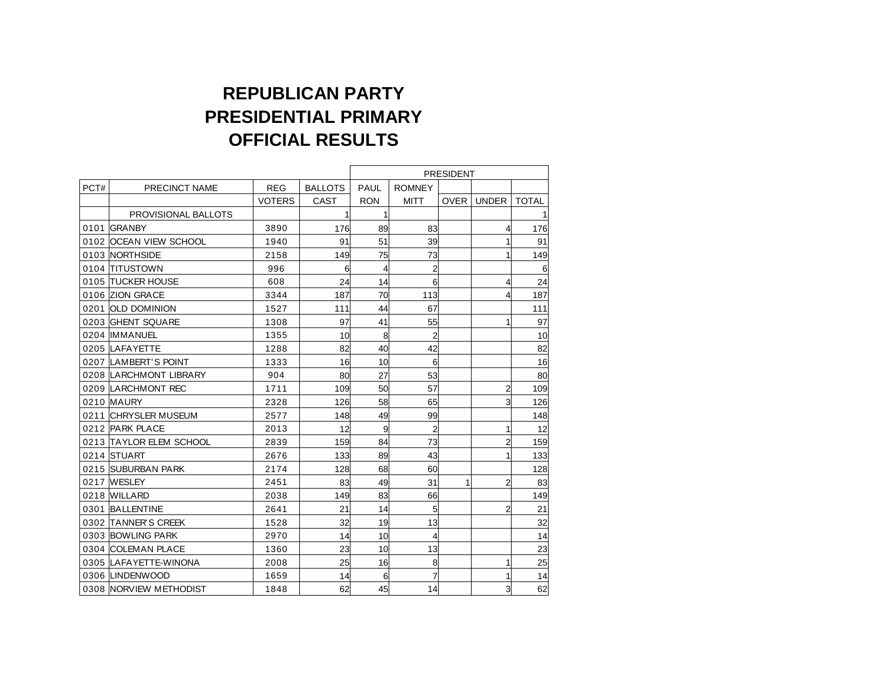## **REPUBLICAN PARTY PRESIDENTIAL PRIMARY OFFICIAL RESULTS**

|      |                         |               |                | <b>PRESIDENT</b> |                         |             |                |              |
|------|-------------------------|---------------|----------------|------------------|-------------------------|-------------|----------------|--------------|
| PCT# | PRECINCT NAME           | <b>REG</b>    | <b>BALLOTS</b> | <b>PAUL</b>      | <b>ROMNEY</b>           |             |                |              |
|      |                         | <b>VOTERS</b> | <b>CAST</b>    | <b>RON</b>       | <b>MITT</b>             | <b>OVER</b> | <b>UNDER</b>   | <b>TOTAL</b> |
|      | PROVISIONAL BALLOTS     |               | 1              | 1                |                         |             |                | 11           |
|      | 0101 GRANBY             | 3890          | 176            | 89               | 83                      |             | 4              | 176          |
|      | 0102 OCEAN VIEW SCHOOL  | 1940          | 91             | 51               | 39                      |             | 1              | 91           |
|      | 0103 NORTHSIDE          | 2158          | 149            | 75               | 73                      |             | 1              | 149          |
|      | 0104 TITUSTOWN          | 996           | 6              | 4                | $\overline{2}$          |             |                | 6            |
|      | 0105 TUCKER HOUSE       | 608           | 24             | 14               | 6                       |             | 4              | 24           |
|      | 0106 ZION GRACE         | 3344          | 187            | 70               | 113                     |             | 4              | 187          |
|      | 0201 OLD DOMINION       | 1527          | 111            | 44               | 67                      |             |                | 111          |
|      | 0203 GHENT SQUARE       | 1308          | 97             | 41               | 55                      |             | 1              | 97           |
|      | 0204 IMMANUEL           | 1355          | 10             | 8                | $\overline{2}$          |             |                | 10           |
|      | 0205 LAFAYETTE          | 1288          | 82             | 40               | 42                      |             |                | 82           |
|      | 0207 LAMBERT'S POINT    | 1333          | 16             | 10               | 6                       |             |                | 16           |
|      | 0208 LARCHMONT LIBRARY  | 904           | 80             | 27               | 53                      |             |                | 80           |
|      | 0209 LARCHMONT REC      | 1711          | 109            | 50               | 57                      |             | $\overline{a}$ | 109          |
|      | 0210 MAURY              | 2328          | 126            | 58               | 65                      |             | $\overline{3}$ | 126          |
|      | 0211 CHRYSLER MUSEUM    | 2577          | 148            | 49               | 99                      |             |                | 148          |
|      | 0212 PARK PLACE         | 2013          | 12             | 9                | $\overline{\mathbf{c}}$ |             | 1              | 12           |
|      | 0213 TAYLOR ELEM SCHOOL | 2839          | 159            | 84               | 73                      |             | $\overline{2}$ | 159          |
|      | 0214 STUART             | 2676          | 133            | 89               | 43                      |             | 1              | 133          |
|      | 0215 SUBURBAN PARK      | 2174          | 128            | 68               | 60                      |             |                | 128          |
|      | 0217 WESLEY             | 2451          | 83             | 49               | 31                      | 1           | $\overline{a}$ | 83           |
|      | 0218 WILLARD            | 2038          | 149            | 83               | 66                      |             |                | 149          |
|      | 0301 BALLENTINE         | 2641          | 21             | 14               | 5                       |             | $\overline{2}$ | 21           |
|      | 0302 TANNER'S CREEK     | 1528          | 32             | 19               | 13                      |             |                | 32           |
|      | 0303 BOWLING PARK       | 2970          | 14             | 10               | $\overline{4}$          |             |                | 14           |
|      | 0304 COLEMAN PLACE      | 1360          | 23             | 10               | 13                      |             |                | 23           |
|      | 0305 LAFAYETTE-WINONA   | 2008          | 25             | 16               | 8                       |             | 1              | 25           |
|      | 0306 LINDENWOOD         | 1659          | 14             | 6                | $\overline{7}$          |             | 1              | 14           |
|      | 0308 NORVIEW METHODIST  | 1848          | 62             | 45               | 14                      |             | $\overline{3}$ | 62           |